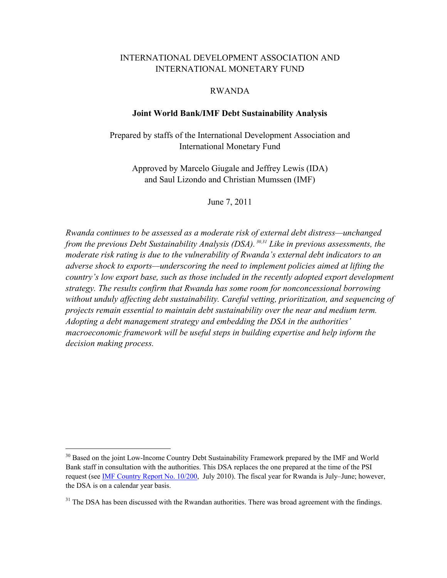# INTERNATIONAL DEVELOPMENT ASSOCIATION AND INTERNATIONAL MONETARY FUND

#### RWANDA

# **Joint World Bank/IMF Debt Sustainability Analysis**

Prepared by staffs of the International Development Association and International Monetary Fund

Approved by Marcelo Giugale and Jeffrey Lewis (IDA) and Saul Lizondo and Christian Mumssen (IMF)

June 7, 2011

*Rwanda continues to be assessed as a moderate risk of external debt distress—unchanged from the previous Debt Sustainability Analysis (DSA). 30,31 Like in previous assessments, the moderate risk rating is due to the vulnerability of Rwanda's external debt indicators to an adverse shock to exports—underscoring the need to implement policies aimed at lifting the country's low export base, such as those included in the recently adopted export development strategy. The results confirm that Rwanda has some room for nonconcessional borrowing without unduly affecting debt sustainability. Careful vetting, prioritization, and sequencing of projects remain essential to maintain debt sustainability over the near and medium term. Adopting a debt management strategy and embedding the DSA in the authorities' macroeconomic framework will be useful steps in building expertise and help inform the decision making process.* 

<sup>&</sup>lt;sup>30</sup> Based on the joint Low-Income Country Debt Sustainability Framework prepared by the IMF and World Bank staff in consultation with the authorities. This DSA replaces the one prepared at the time of the PSI request (see **IMF Country Report No. 10/200**, July 2010). The fiscal year for Rwanda is July–June; however, the DSA is on a calendar year basis.

<sup>&</sup>lt;sup>31</sup> The DSA has been discussed with the Rwandan authorities. There was broad agreement with the findings.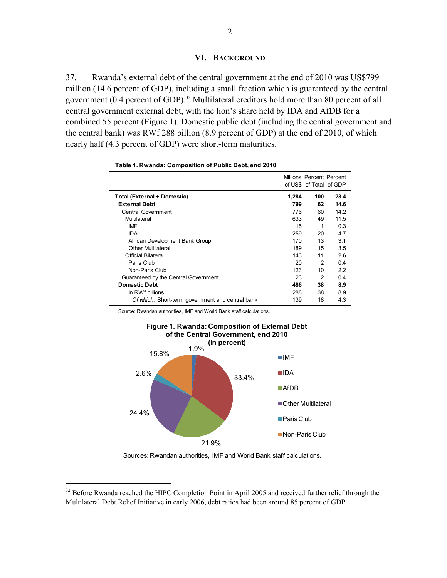37. Rwanda's external debt of the central government at the end of 2010 was US\$799 million (14.6 percent of GDP), including a small fraction which is guaranteed by the central government (0.4 percent of GDP).<sup>32</sup> Multilateral creditors hold more than 80 percent of all central government external debt, with the lion's share held by IDA and AfDB for a combined 55 percent (Figure 1). Domestic public debt (including the central government and the central bank) was RWf 288 billion (8.9 percent of GDP) at the end of 2010, of which nearly half (4.3 percent of GDP) were short-term maturities.

|                                                  |       | Millions Percent Percent<br>of US\$ of Total of GDP |      |
|--------------------------------------------------|-------|-----------------------------------------------------|------|
| <b>Total (External + Domestic)</b>               | 1,284 | 100                                                 | 23.4 |
| <b>External Debt</b>                             | 799   | 62                                                  | 14.6 |
| <b>Central Government</b>                        | 776   | 60                                                  | 14.2 |
| Multilateral                                     | 633   | 49                                                  | 11.5 |
| IMF                                              | 15    | 1                                                   | 0.3  |
| <b>IDA</b>                                       | 259   | 20                                                  | 4.7  |
| African Development Bank Group                   | 170   | 13                                                  | 3.1  |
| <b>Other Multilateral</b>                        | 189   | 15                                                  | 3.5  |
| Official Bilateral                               | 143   | 11                                                  | 2.6  |
| Paris Club                                       | 20    | 2                                                   | 0.4  |
| Non-Paris Club                                   | 123   | 10                                                  | 2.2  |
| Guaranteed by the Central Government             | 23    | 2                                                   | 0.4  |
| <b>Domestic Debt</b>                             | 486   | 38                                                  | 8.9  |
| In RWf billions                                  | 288   | 38                                                  | 8.9  |
| Of which: Short-term government and central bank | 139   | 18                                                  | 4.3  |

| Table 1. Rwanda: Composition of Public Debt, end 2010 |  |  |
|-------------------------------------------------------|--|--|
|                                                       |  |  |

Source: Rwandan authorities, IMF and World Bank staff calculations.



# **Figure 1. Rwanda: Composition of External Debt**

Sources: Rwandan authorities, IMF and World Bank staff calculations.

1

 $32$  Before Rwanda reached the HIPC Completion Point in April 2005 and received further relief through the Multilateral Debt Relief Initiative in early 2006, debt ratios had been around 85 percent of GDP.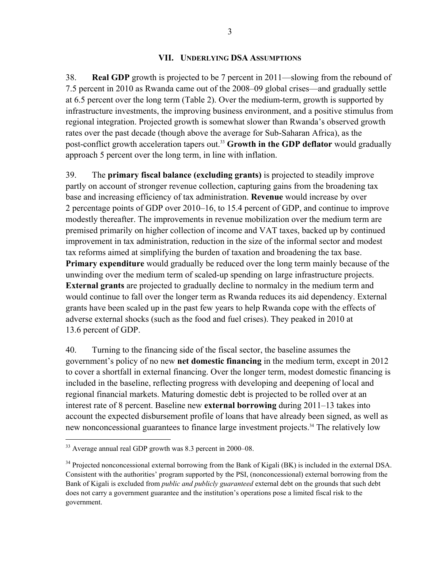#### **VII. UNDERLYING DSA ASSUMPTIONS**

38. **Real GDP** growth is projected to be 7 percent in 2011—slowing from the rebound of 7.5 percent in 2010 as Rwanda came out of the 2008–09 global crises—and gradually settle at 6.5 percent over the long term (Table 2). Over the medium-term, growth is supported by infrastructure investments, the improving business environment, and a positive stimulus from regional integration. Projected growth is somewhat slower than Rwanda's observed growth rates over the past decade (though above the average for Sub-Saharan Africa), as the post-conflict growth acceleration tapers out.<sup>33</sup> Growth in the GDP deflator would gradually approach 5 percent over the long term, in line with inflation.

39. The **primary fiscal balance (excluding grants)** is projected to steadily improve partly on account of stronger revenue collection, capturing gains from the broadening tax base and increasing efficiency of tax administration. **Revenue** would increase by over 2 percentage points of GDP over 2010–16, to 15.4 percent of GDP, and continue to improve modestly thereafter. The improvements in revenue mobilization over the medium term are premised primarily on higher collection of income and VAT taxes, backed up by continued improvement in tax administration, reduction in the size of the informal sector and modest tax reforms aimed at simplifying the burden of taxation and broadening the tax base. **Primary expenditure** would gradually be reduced over the long term mainly because of the unwinding over the medium term of scaled-up spending on large infrastructure projects. **External grants** are projected to gradually decline to normalcy in the medium term and would continue to fall over the longer term as Rwanda reduces its aid dependency. External grants have been scaled up in the past few years to help Rwanda cope with the effects of adverse external shocks (such as the food and fuel crises). They peaked in 2010 at 13.6 percent of GDP.

40. Turning to the financing side of the fiscal sector, the baseline assumes the government's policy of no new **net domestic financing** in the medium term, except in 2012 to cover a shortfall in external financing. Over the longer term, modest domestic financing is included in the baseline, reflecting progress with developing and deepening of local and regional financial markets. Maturing domestic debt is projected to be rolled over at an interest rate of 8 percent. Baseline new **external borrowing** during 2011–13 takes into account the expected disbursement profile of loans that have already been signed, as well as new nonconcessional guarantees to finance large investment projects.<sup>34</sup> The relatively low

<sup>33</sup> Average annual real GDP growth was 8.3 percent in 2000–08.

<sup>&</sup>lt;sup>34</sup> Projected nonconcessional external borrowing from the Bank of Kigali (BK) is included in the external DSA. Consistent with the authorities' program supported by the PSI, (nonconcessional) external borrowing from the Bank of Kigali is excluded from *public and publicly guaranteed* external debt on the grounds that such debt does not carry a government guarantee and the institution's operations pose a limited fiscal risk to the government.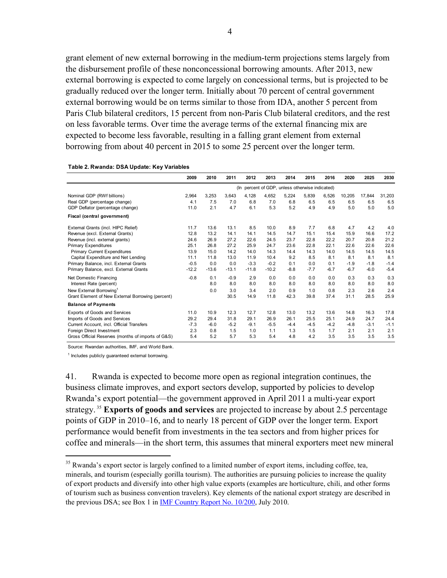grant element of new external borrowing in the medium-term projections stems largely from the disbursement profile of these nonconcessional borrowing amounts. After 2013, new external borrowing is expected to come largely on concessional terms, but is projected to be gradually reduced over the longer term. Initially about 70 percent of central government external borrowing would be on terms similar to those from IDA, another 5 percent from Paris Club bilateral creditors, 15 percent from non-Paris Club bilateral creditors, and the rest on less favorable terms. Over time the average terms of the external financing mix are expected to become less favorable, resulting in a falling grant element from external borrowing from about 40 percent in 2015 to some 25 percent over the longer term.

|                                                    | 2009    | 2010    | 2011    | 2012    | 2013                                            | 2014   | 2015   | 2016   | 2020   | 2025   | 2030   |
|----------------------------------------------------|---------|---------|---------|---------|-------------------------------------------------|--------|--------|--------|--------|--------|--------|
|                                                    |         |         |         |         | (In percent of GDP, unless otherwise indicated) |        |        |        |        |        |        |
| Nominal GDP (RWf billions)                         | 2.964   | 3,253   | 3,643   | 4,128   | 4.652                                           | 5,224  | 5,839  | 6,526  | 10,205 | 17,844 | 31,203 |
| Real GDP (percentage change)                       | 4.1     | 7.5     | 7.0     | 6.8     | 7.0                                             | 6.8    | 6.5    | 6.5    | 6.5    | 6.5    | 6.5    |
| GDP Deflator (percentage change)                   | 11.0    | 2.1     | 4.7     | 6.1     | 5.3                                             | 5.2    | 4.9    | 4.9    | 5.0    | 5.0    | 5.0    |
| Fiscal (central government)                        |         |         |         |         |                                                 |        |        |        |        |        |        |
| External Grants (incl. HIPC Relief)                | 11.7    | 13.6    | 13.1    | 8.5     | 10.0                                            | 8.9    | 7.7    | 6.8    | 4.7    | 4.2    | 4.0    |
| Revenue (excl. External Grants)                    | 12.8    | 13.2    | 14.1    | 14.1    | 14.5                                            | 14.7   | 15.1   | 15.4   | 15.9   | 16.6   | 17.2   |
| Revenue (incl. external grants)                    | 24.6    | 26.9    | 27.2    | 22.6    | 24.5                                            | 23.7   | 22.8   | 22.2   | 20.7   | 20.8   | 21.2   |
| <b>Primary Expenditures</b>                        | 25.1    | 26.8    | 27.2    | 25.9    | 24.7                                            | 23.6   | 22.8   | 22.1   | 22.6   | 22.6   | 22.6   |
| <b>Primary Current Expenditures</b>                | 13.9    | 15.0    | 14.2    | 14.0    | 14.3                                            | 14.4   | 14.3   | 14.0   | 14.5   | 14.5   | 14.5   |
| Capital Expenditure and Net Lending                | 11.1    | 11.8    | 13.0    | 11.9    | 10.4                                            | 9.2    | 8.5    | 8.1    | 8.1    | 8.1    | 8.1    |
| Primary Balance, incl. External Grants             | $-0.5$  | 0.0     | 0.0     | $-3.3$  | $-0.2$                                          | 0.1    | 0.0    | 0.1    | $-1.9$ | $-1.8$ | $-1.4$ |
| Primary Balance, excl. External Grants             | $-12.2$ | $-13.6$ | $-13.1$ | $-11.8$ | $-10.2$                                         | $-8.8$ | $-7.7$ | $-6.7$ | $-6.7$ | $-6.0$ | $-5.4$ |
| Net Domestic Financing                             | $-0.8$  | 0.1     | $-0.9$  | 2.9     | 0.0                                             | 0.0    | 0.0    | 0.0    | 0.3    | 0.3    | 0.3    |
| Interest Rate (percent)                            |         | 8.0     | 8.0     | 8.0     | 8.0                                             | 8.0    | 8.0    | 8.0    | 8.0    | 8.0    | 8.0    |
| New External Borrowing <sup>1</sup>                |         | 0.0     | 3.0     | 3.4     | 2.0                                             | 0.9    | 1.0    | 0.8    | 2.3    | 2.6    | 2.4    |
| Grant Element of New External Borrowing (percent)  |         |         | 30.5    | 14.9    | 11.8                                            | 42.3   | 39.8   | 37.4   | 31.1   | 28.5   | 25.9   |
| <b>Balance of Payments</b>                         |         |         |         |         |                                                 |        |        |        |        |        |        |
| <b>Exports of Goods and Services</b>               | 11.0    | 10.9    | 12.3    | 12.7    | 12.8                                            | 13.0   | 13.2   | 13.6   | 14.8   | 16.3   | 17.8   |
| Imports of Goods and Services                      | 29.2    | 29.4    | 31.8    | 29.1    | 26.9                                            | 26.1   | 25.5   | 25.1   | 24.9   | 24.7   | 24.4   |
| Current Account, incl. Official Transfers          | $-7.3$  | $-6.0$  | $-5.2$  | $-9.1$  | $-5.5$                                          | $-4.4$ | $-4.5$ | $-4.2$ | $-4.8$ | $-3.1$ | $-1.1$ |
| Foreign Direct Investment                          | 2.3     | 0.8     | 1.5     | 1.0     | 1.1                                             | 1.3    | 1.5    | 1.7    | 2.1    | 2.1    | 2.1    |
| Gross Official Reserves (months of imports of G&S) | 5.4     | 5.2     | 5.7     | 5.3     | 5.4                                             | 4.8    | 4.2    | 3.5    | 3.5    | 3.5    | 3.5    |

**Table 2. Rwanda: DSA Update: Key Variables**

Source: Rwandan authorities, IMF, and World Bank.

<sup>1</sup> Includes publicly guaranteed external borrowing.

 $\overline{a}$ 

41. Rwanda is expected to become more open as regional integration continues, the business climate improves, and export sectors develop, supported by policies to develop Rwanda's export potential—the government approved in April 2011 a multi-year export strategy. 35 **Exports of goods and services** are projected to increase by about 2.5 percentage points of GDP in 2010–16, and to nearly 18 percent of GDP over the longer term. Export performance would benefit from investments in the tea sectors and from higher prices for coffee and minerals—in the short term, this assumes that mineral exporters meet new mineral

 $35$  Rwanda's export sector is largely confined to a limited number of export items, including coffee, tea, minerals, and tourism (especially gorilla tourism). The authorities are pursuing policies to increase the quality of export products and diversify into other high value exports (examples are horticulture, chili, and other forms of tourism such as business convention travelers). Key elements of the national export strategy are described in the previous DSA; see Box 1 in **IMF Country Report No. 10/200**, July 2010.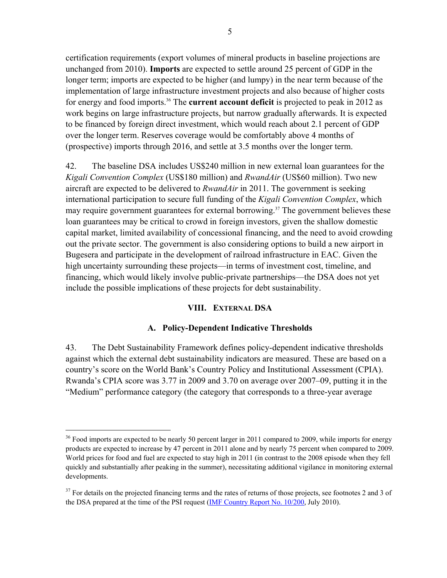certification requirements (export volumes of mineral products in baseline projections are unchanged from 2010). **Imports** are expected to settle around 25 percent of GDP in the longer term; imports are expected to be higher (and lumpy) in the near term because of the implementation of large infrastructure investment projects and also because of higher costs for energy and food imports.36 The **current account deficit** is projected to peak in 2012 as work begins on large infrastructure projects, but narrow gradually afterwards. It is expected to be financed by foreign direct investment, which would reach about 2.1 percent of GDP over the longer term. Reserves coverage would be comfortably above 4 months of (prospective) imports through 2016, and settle at 3.5 months over the longer term.

42. The baseline DSA includes US\$240 million in new external loan guarantees for the *Kigali Convention Complex* (US\$180 million) and *RwandAir* (US\$60 million). Two new aircraft are expected to be delivered to *RwandAir* in 2011. The government is seeking international participation to secure full funding of the *Kigali Convention Complex*, which may require government guarantees for external borrowing.<sup>37</sup> The government believes these loan guarantees may be critical to crowd in foreign investors, given the shallow domestic capital market, limited availability of concessional financing, and the need to avoid crowding out the private sector. The government is also considering options to build a new airport in Bugesera and participate in the development of railroad infrastructure in EAC. Given the high uncertainty surrounding these projects—in terms of investment cost, timeline, and financing, which would likely involve public-private partnerships—the DSA does not yet include the possible implications of these projects for debt sustainability.

# **VIII. EXTERNAL DSA**

# **A. Policy-Dependent Indicative Thresholds**

43. The Debt Sustainability Framework defines policy-dependent indicative thresholds against which the external debt sustainability indicators are measured. These are based on a country's score on the World Bank's Country Policy and Institutional Assessment (CPIA). Rwanda's CPIA score was 3.77 in 2009 and 3.70 on average over 2007–09, putting it in the "Medium" performance category (the category that corresponds to a three-year average

 $36$  Food imports are expected to be nearly 50 percent larger in 2011 compared to 2009, while imports for energy products are expected to increase by 47 percent in 2011 alone and by nearly 75 percent when compared to 2009. World prices for food and fuel are expected to stay high in 2011 (in contrast to the 2008 episode when they fell quickly and substantially after peaking in the summer), necessitating additional vigilance in monitoring external developments.

 $37$  For details on the projected financing terms and the rates of returns of those projects, see footnotes 2 and 3 of the DSA prepared at the time of the PSI request (*IMF Country Report No. 10/200*, July 2010).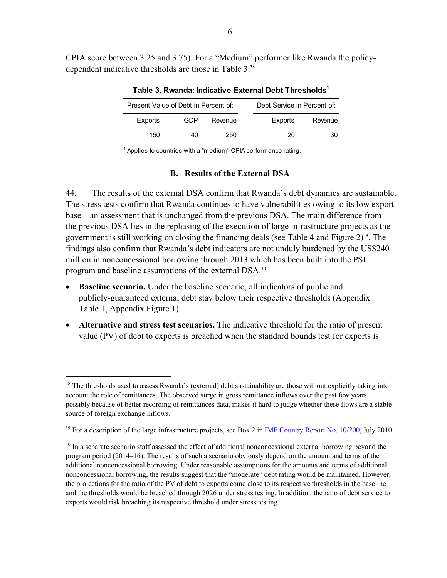CPIA score between 3.25 and 3.75). For a "Medium" performer like Rwanda the policydependent indicative thresholds are those in Table 3.<sup>38</sup>

| Present Value of Debt in Percent of: |     | Debt Service in Percent of: |         |         |  |  |  |  |  |
|--------------------------------------|-----|-----------------------------|---------|---------|--|--|--|--|--|
| Exports                              | GDP | Revenue                     | Exports | Revenue |  |  |  |  |  |
| 150                                  | 40  | 250                         | 20      | 30      |  |  |  |  |  |

**Table 3. Rwanda: Indicative External Debt Thresholds1**

<sup>1</sup> Applies to countries with a "medium" CPIA performance rating.

## **B. Results of the External DSA**

44. The results of the external DSA confirm that Rwanda's debt dynamics are sustainable. The stress tests confirm that Rwanda continues to have vulnerabilities owing to its low export base—an assessment that is unchanged from the previous DSA. The main difference from the previous DSA lies in the rephasing of the execution of large infrastructure projects as the government is still working on closing the financing deals (see Table 4 and Figure  $2^{39}$ . The findings also confirm that Rwanda's debt indicators are not unduly burdened by the US\$240 million in nonconcessional borrowing through 2013 which has been built into the PSI program and baseline assumptions of the external DSA.<sup>40</sup>

- **Baseline scenario.** Under the baseline scenario, all indicators of public and publicly-guaranteed external debt stay below their respective thresholds (Appendix Table 1, Appendix Figure 1).
- **Alternative and stress test scenarios.** The indicative threshold for the ratio of present value (PV) of debt to exports is breached when the standard bounds test for exports is

<sup>&</sup>lt;sup>38</sup> The thresholds used to assess Rwanda's (external) debt sustainability are those without explicitly taking into account the role of remittances. The observed surge in gross remittance inflows over the past few years, possibly because of better recording of remittances data, makes it hard to judge whether these flows are a stable source of foreign exchange inflows.

<sup>&</sup>lt;sup>39</sup> For a description of the large infrastructure projects, see Box 2 in IMF Country Report No. 10/200, July 2010.

 $40$  In a separate scenario staff assessed the effect of additional nonconcessional external borrowing beyond the program period (2014–16). The results of such a scenario obviously depend on the amount and terms of the additional nonconcessional borrowing. Under reasonable assumptions for the amounts and terms of additional nonconcessional borrowing, the results suggest that the "moderate" debt rating would be maintained. However, the projections for the ratio of the PV of debt to exports come close to its respective thresholds in the baseline and the thresholds would be breached through 2026 under stress testing. In addition, the ratio of debt service to exports would risk breaching its respective threshold under stress testing.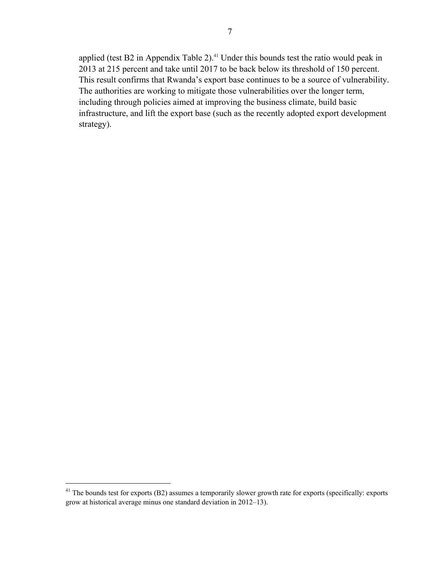applied (test B2 in Appendix Table 2). $41$  Under this bounds test the ratio would peak in 2013 at 215 percent and take until 2017 to be back below its threshold of 150 percent. This result confirms that Rwanda's export base continues to be a source of vulnerability. The authorities are working to mitigate those vulnerabilities over the longer term, including through policies aimed at improving the business climate, build basic infrastructure, and lift the export base (such as the recently adopted export development strategy).

1

 $41$  The bounds test for exports (B2) assumes a temporarily slower growth rate for exports (specifically: exports grow at historical average minus one standard deviation in 2012–13).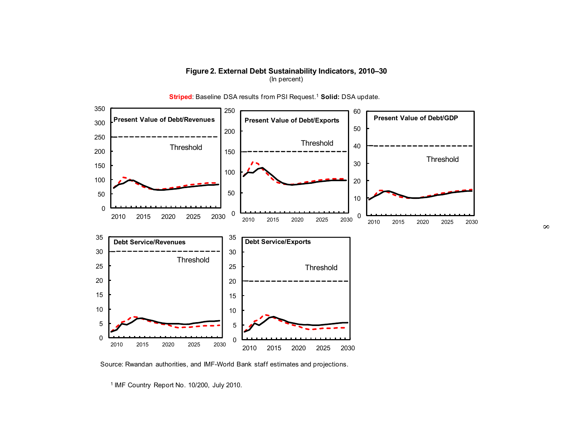



**Striped:** Baseline DSA results from PSI Request.<sup>1</sup> Solid: DSA update.

Source: Rwandan authorities, and IMF-World Bank staff estimates and projections.

1 IMF Country Report No. 10/200, July 2010.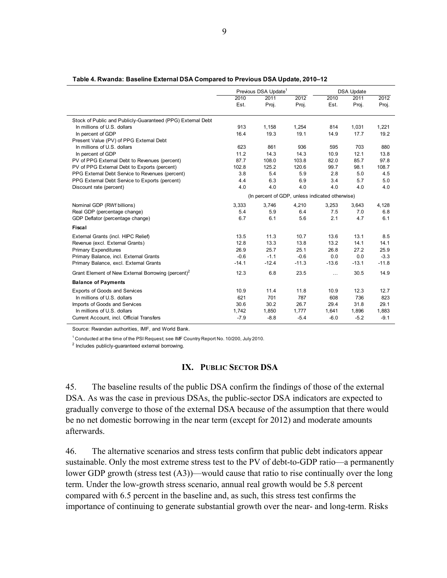| Table 4. Rwanda: Baseline External DSA Compared to Previous DSA Update, 2010-12 |  |  |
|---------------------------------------------------------------------------------|--|--|
|---------------------------------------------------------------------------------|--|--|

|                                                                                            |         | Previous DSA Update <sup>1</sup> |                                                 | <b>DSA Update</b> |               |               |  |  |
|--------------------------------------------------------------------------------------------|---------|----------------------------------|-------------------------------------------------|-------------------|---------------|---------------|--|--|
|                                                                                            | 2010    | 2011                             | 2012                                            | 2010              | 2011          | 2012          |  |  |
|                                                                                            | Est.    | Proj.                            | Proj.                                           | Est.              | Proj.         | Proj.         |  |  |
|                                                                                            |         |                                  |                                                 |                   |               |               |  |  |
| Stock of Public and Publicly-Guaranteed (PPG) External Debt<br>In millions of U.S. dollars | 913     | 1,158                            |                                                 | 814               |               |               |  |  |
| In percent of GDP                                                                          | 16.4    | 19.3                             | 1,254<br>19.1                                   | 14.9              | 1,031<br>17.7 | 1,221<br>19.2 |  |  |
| Present Value (PV) of PPG External Debt                                                    |         |                                  |                                                 |                   |               |               |  |  |
| In millions of U.S. dollars                                                                | 623     | 861                              | 936                                             | 595               | 703           | 880           |  |  |
| In percent of GDP                                                                          | 11.2    | 14.3                             | 14.3                                            | 10.9              | 12.1          | 13.8          |  |  |
| PV of PPG External Debt to Revenues (percent)                                              | 87.7    | 108.0                            | 103.8                                           | 82.0              | 85.7          | 97.8          |  |  |
| PV of PPG External Debt to Exports (percent)                                               | 102.8   | 125.2                            | 120.6                                           | 99.7              | 98.1          | 108.7         |  |  |
| PPG External Debt Service to Revenues (percent)                                            | 3.8     | 5.4                              | 5.9                                             | 2.8               | 5.0           | 4.5           |  |  |
| PPG External Debt Service to Exports (percent)                                             | 4.4     | 6.3                              | 6.9                                             | 3.4               | 5.7           | 5.0           |  |  |
| Discount rate (percent)                                                                    | 4.0     | 4.0                              | 4.0                                             | 4.0               | 4.0           | 4.0           |  |  |
|                                                                                            |         |                                  |                                                 |                   |               |               |  |  |
|                                                                                            |         |                                  | (In percent of GDP, unless indicated otherwise) |                   |               |               |  |  |
| Nominal GDP (RWf billions)                                                                 | 3,333   | 3,746                            | 4,210                                           | 3,253             | 3,643         | 4,128         |  |  |
| Real GDP (percentage change)                                                               | 5.4     | 5.9                              | 6.4                                             | 7.5               | 7.0           | 6.8           |  |  |
| GDP Deflator (percentage change)                                                           | 6.7     | 6.1                              | 5.6                                             | 2.1               | 4.7           | 6.1           |  |  |
| Fiscal                                                                                     |         |                                  |                                                 |                   |               |               |  |  |
| External Grants (incl. HIPC Relief)                                                        | 13.5    | 11.3                             | 10.7                                            | 13.6              | 13.1          | 8.5           |  |  |
| Revenue (excl. External Grants)                                                            | 12.8    | 13.3                             | 13.8                                            | 13.2              | 14.1          | 14.1          |  |  |
| <b>Primary Expenditures</b>                                                                | 26.9    | 25.7                             | 25.1                                            | 26.8              | 27.2          | 25.9          |  |  |
| Primary Balance, incl. External Grants                                                     | $-0.6$  | $-1.1$                           | $-0.6$                                          | 0.0               | 0.0           | $-3.3$        |  |  |
| Primary Balance, excl. External Grants                                                     | $-14.1$ | $-12.4$                          | $-11.3$                                         | $-13.6$           | $-13.1$       | $-11.8$       |  |  |
| Grant Element of New External Borrowing (percent) <sup>2</sup>                             | 12.3    | 6.8                              | 23.5                                            | $\cdots$          | 30.5          | 14.9          |  |  |
| <b>Balance of Payments</b>                                                                 |         |                                  |                                                 |                   |               |               |  |  |
| <b>Exports of Goods and Services</b>                                                       | 10.9    | 11.4                             | 11.8                                            | 10.9              | 12.3          | 12.7          |  |  |
| In millions of U.S. dollars                                                                | 621     | 701                              | 787                                             | 608               | 736           | 823           |  |  |
| Imports of Goods and Services                                                              | 30.6    | 30.2                             | 26.7                                            | 29.4              | 31.8          | 29.1          |  |  |
| In millions of U.S. dollars                                                                | 1,742   | 1,850                            | 1,777                                           | 1,641             | 1,896         | 1,883         |  |  |
| Current Account, incl. Official Transfers                                                  | $-7.9$  | $-8.8$                           | $-5.4$                                          | $-6.0$            | $-5.2$        | $-9.1$        |  |  |

Source: Rwandan authorities, IMF, and World Bank.

 $1$  Conducted at the time of the PSI Request; see IMF Country Report No. 10/200, July 2010.

<sup>2</sup> Includes publicly-guaranteed external borrowing.

# **IX. PUBLIC SECTOR DSA**

45. The baseline results of the public DSA confirm the findings of those of the external DSA. As was the case in previous DSAs, the public-sector DSA indicators are expected to gradually converge to those of the external DSA because of the assumption that there would be no net domestic borrowing in the near term (except for 2012) and moderate amounts afterwards.

46. The alternative scenarios and stress tests confirm that public debt indicators appear sustainable. Only the most extreme stress test to the PV of debt-to-GDP ratio—a permanently lower GDP growth (stress test (A3))—would cause that ratio to rise continually over the long term. Under the low-growth stress scenario, annual real growth would be 5.8 percent compared with 6.5 percent in the baseline and, as such, this stress test confirms the importance of continuing to generate substantial growth over the near- and long-term. Risks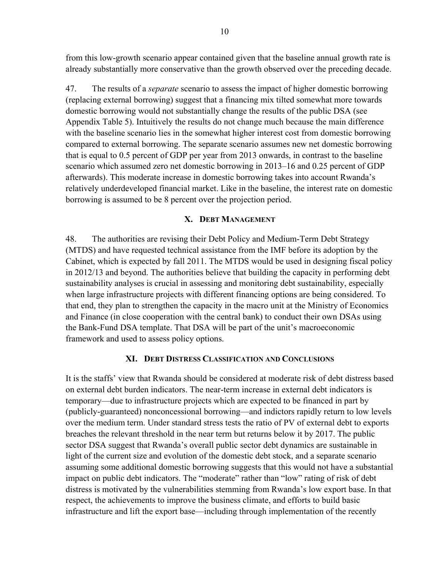from this low-growth scenario appear contained given that the baseline annual growth rate is already substantially more conservative than the growth observed over the preceding decade.

47. The results of a *separate* scenario to assess the impact of higher domestic borrowing (replacing external borrowing) suggest that a financing mix tilted somewhat more towards domestic borrowing would not substantially change the results of the public DSA (see Appendix Table 5). Intuitively the results do not change much because the main difference with the baseline scenario lies in the somewhat higher interest cost from domestic borrowing compared to external borrowing. The separate scenario assumes new net domestic borrowing that is equal to 0.5 percent of GDP per year from 2013 onwards, in contrast to the baseline scenario which assumed zero net domestic borrowing in 2013–16 and 0.25 percent of GDP afterwards). This moderate increase in domestic borrowing takes into account Rwanda's relatively underdeveloped financial market. Like in the baseline, the interest rate on domestic borrowing is assumed to be 8 percent over the projection period.

### **X. DEBT MANAGEMENT**

48. The authorities are revising their Debt Policy and Medium-Term Debt Strategy (MTDS) and have requested technical assistance from the IMF before its adoption by the Cabinet, which is expected by fall 2011. The MTDS would be used in designing fiscal policy in 2012/13 and beyond. The authorities believe that building the capacity in performing debt sustainability analyses is crucial in assessing and monitoring debt sustainability, especially when large infrastructure projects with different financing options are being considered. To that end, they plan to strengthen the capacity in the macro unit at the Ministry of Economics and Finance (in close cooperation with the central bank) to conduct their own DSAs using the Bank-Fund DSA template. That DSA will be part of the unit's macroeconomic framework and used to assess policy options.

#### **XI. DEBT DISTRESS CLASSIFICATION AND CONCLUSIONS**

It is the staffs' view that Rwanda should be considered at moderate risk of debt distress based on external debt burden indicators. The near-term increase in external debt indicators is temporary—due to infrastructure projects which are expected to be financed in part by (publicly-guaranteed) nonconcessional borrowing—and indictors rapidly return to low levels over the medium term. Under standard stress tests the ratio of PV of external debt to exports breaches the relevant threshold in the near term but returns below it by 2017. The public sector DSA suggest that Rwanda's overall public sector debt dynamics are sustainable in light of the current size and evolution of the domestic debt stock, and a separate scenario assuming some additional domestic borrowing suggests that this would not have a substantial impact on public debt indicators. The "moderate" rather than "low" rating of risk of debt distress is motivated by the vulnerabilities stemming from Rwanda's low export base. In that respect, the achievements to improve the business climate, and efforts to build basic infrastructure and lift the export base—including through implementation of the recently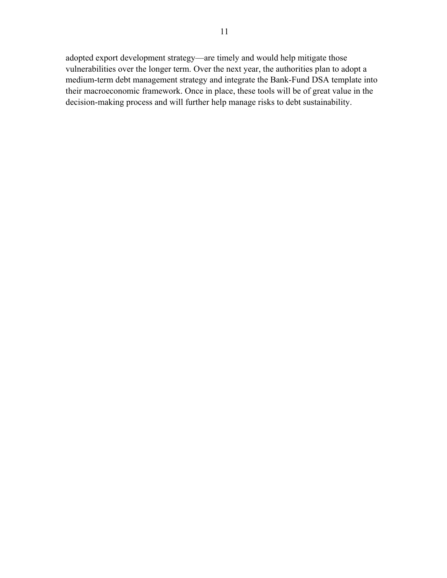adopted export development strategy—are timely and would help mitigate those vulnerabilities over the longer term. Over the next year, the authorities plan to adopt a medium-term debt management strategy and integrate the Bank-Fund DSA template into their macroeconomic framework. Once in place, these tools will be of great value in the decision-making process and will further help manage risks to debt sustainability.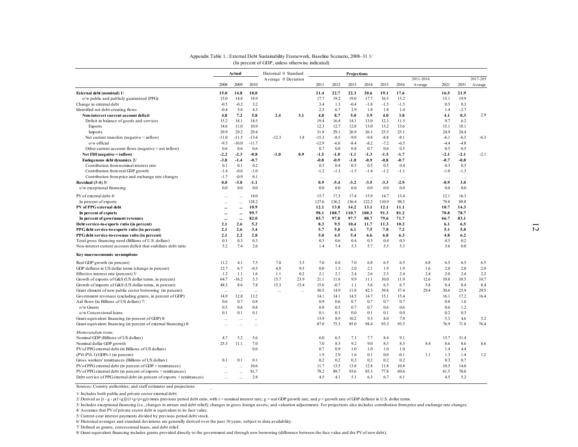|                                                                                  |                  |                  |                | Appendix Table 1.: External Debt Sustainability Framework, Baseline Scenario, 2008-31 1/ |           |             |               |               |               |               |                |           |             |               |           |
|----------------------------------------------------------------------------------|------------------|------------------|----------------|------------------------------------------------------------------------------------------|-----------|-------------|---------------|---------------|---------------|---------------|----------------|-----------|-------------|---------------|-----------|
|                                                                                  |                  |                  |                | (In percent of GDP, unless otherwise indicated)                                          |           |             |               |               |               |               |                |           |             |               |           |
|                                                                                  |                  | Actual           |                | Historical 0 Standard<br>Average 0 Deviation                                             |           |             |               | Projections   |               |               |                | 2011-2016 |             |               | 2017-2031 |
|                                                                                  | 2008             | 2009             | 2010           |                                                                                          |           | 2011        | 2012          | 2013          | 2014          | 2015          | 2016           | Average   | 2021        | 2031          | Average   |
| External debt (nominal) 1/                                                       | 15.0             | 14.8             | 18.0           |                                                                                          |           | 21.4        | 22.7          | 22.3          | 20.6          | 19.1          | 17.6           |           | 16.5        | 21.9          |           |
| o/w public and publicly guaranteed (PPG)                                         | 15.0             | 14.8             | 14.9<br>3.2    |                                                                                          |           | 17.7<br>3.4 | 19.2          | 19.0          | 17.7          | 16.5          | 15.2<br>$-1.5$ |           | 15.1        | 19.9          |           |
| Change in external debt<br>Identified net debt-creating flows                    | $-0.5$<br>$-0.4$ | $-0.2$<br>3.6    | 4.3            |                                                                                          |           | 2.5         | 1.3<br>6.7    | $-0.4$<br>2.9 | $-1.8$<br>1.8 | $-1.5$<br>1.8 | 1.4            |           | 0.5<br>1.4  | 0.3<br>$-2.7$ |           |
| Non-interest current account deficit                                             | 4.8              | 7.2              | 5.8            | 2.4                                                                                      | 3.1       | 4.8         | 8.7           | 5.0           | 3.9           | 4.0           | 3.8            |           | 4.1         | 0.3           | 2.9       |
| Deficit in balance of goods and services                                         | 15.2             | 18.1             | 18.5           |                                                                                          |           | 19.4        | 16.4          | 14.1          | 13.0          | 12.3          | 11.5           |           | 9.7         | 6.2           |           |
| Exports                                                                          | 14.6             | 11.0             | 10.9           |                                                                                          |           | 12.3        | 12.7          | 12.8          | 13.0          | 13.2          | 13.6           |           | 15.1        | 18.1          |           |
| Imports                                                                          | 29.9             | 29.2             | 29.4           |                                                                                          |           | 31.8        | 29.1          | 26.9          | 26.1          | 25.5          | 25.1           |           | 24.9        | 24.4          |           |
| Net current transfers (negative $=$ inflow)                                      | $-11.0$          | $-11.5$          | $-13.4$        | $-12.3$                                                                                  | 1.4       | $-15.3$     | $-8.5$        | $-9.9$        | $-9.8$        | $-8.8$        | $-8.1$         |           | $-6.1$      | $-6.5$        | $-6.3$    |
| $o/w$ official                                                                   | $-9.5$           | $-10.0$          | $-11.7$        |                                                                                          |           | $-12.9$     | $-6.6$        | $-8.4$        | $-8.2$        | $-7.2$        | $-6.5$         |           | $-4.4$      | $-4.8$        |           |
| Other current account flows (negative $=$ net inflow)                            | 0.6              | 0.6              | 0.6            |                                                                                          |           | 0.7         | 0.8           | 0.8           | 0.7           | 0.6           | 0.5            |           | 0.5         | 0.5           |           |
| Net FDI (negative $=$ inflow)                                                    | $-2.2$           | $-2.3$           | $-0.8$         | $-1.0$                                                                                   | 0.9       | $-1.5$      | $-1.0$        | $-1.1$        | $-1.3$        | $-1.5$        | $-1.7$         |           | $-2.1$      | $-2.1$        | $-2.1$    |
| Endogenous debt dynamics 2/                                                      | $-3.0$           | $-1.4$           | $-0.7$         |                                                                                          |           | $-0.8$      | $-0.9$        | $-1.0$        | $-0.9$        | $-0.8$        | $-0.7$         |           | $-0.7$      | $-0.8$        |           |
| Contribution from nominal interest rate                                          | 0.1              | 0.1              | 0.2            |                                                                                          |           | 0.3         | 0.4           | 0.5           | 0.5           | 0.5           | 0.4            |           | 0.3         | 0.5           |           |
| Contribution from real GDP growth                                                | $-14$            | $-0.6$           | $-1.0$         |                                                                                          |           | $-1.2$      | $-1.3$        | $-1.5$        | $-1.4$        | $-1.2$        | $-1.1$         |           | $-1.0$      | $-1.3$        |           |
| Contribution from price and exchange rate changes                                | $-1.7$           | $-0.9$           | 0.1            |                                                                                          |           | $\ldots$    | $\cdots$      | $\ldots$      | $\cdots$      | $\ldots$      | $\cdots$       |           | $\ldots$    | $\cdots$      |           |
| <b>Residual (3-4) 3/</b><br>o/w exceptional financing                            | 0.0<br>0.0       | $-3.8$<br>0.0    | $-1.1$<br>0.0  |                                                                                          |           | 0.9<br>0.0  | $-5.4$<br>0.0 | $-3.2$<br>0.0 | $-3.5$<br>0.0 | $-3.3$<br>0.0 | $-2.9$<br>0.0  |           | -0.9<br>0.0 | 3.0<br>0.0    |           |
|                                                                                  |                  |                  |                |                                                                                          |           |             |               |               |               |               |                |           |             |               |           |
| PV of external debt 4/                                                           | $\ddotsc$        | $\ddotsc$        | 14.0           |                                                                                          |           | 15.7        | 17.3          | 17.4          | 15.9          | 14.7          | 13.4           |           | 12.1        | 16.3          |           |
| In percent of exports                                                            |                  | $\ddotsc$        | 128.2          |                                                                                          |           | 127.6       | 136.2         | 136.4         | 122.2         | 110.9         | 98.5           |           | 79.8        | 89.8          |           |
| PV of PPG external debt                                                          |                  |                  | 10.9<br>99.7   |                                                                                          |           | 12.1        | 13.8          | 14.2          | 13.1          | 12.1          | 11.1           |           | 10.7        | 14.3          |           |
| In percent of exports                                                            |                  | $\ddotsc$        |                |                                                                                          |           | 98.1        | 108.7<br>97.8 | 110.7<br>97.7 | 100.3         | 91.3<br>79.6  | 81.2<br>71.7   |           | 70.8        | 78.7          |           |
| In percent of government revenues<br>Debt service-to-exports ratio (in percent)  | <br>2.1          | $\ddotsc$<br>2.6 | 82.0<br>5.2    |                                                                                          |           | 85.7<br>8.3 | 9.5           | 10.4          | 88.7<br>11.7  | 11.3          | 10.2           |           | 66.7<br>6.1 | 83.1<br>6.5   |           |
| PPG debt service-to-exports ratio (in percent)                                   | 2.1              | 2.6              | 3.4            |                                                                                          |           | 5.7         | 5.0           | 6.1           | 7.5           | 7.8           | 7.2            |           | 5.1         | 5.8           |           |
| PPG debt service-to-revenue ratio (in percent)                                   | 2.1              | 2.2              | 2.8            |                                                                                          |           | 5.0         | 4.5           | 5.4           | 6.6           | 6.8           | 6.3            |           | 4.8         | 6.2           |           |
| Total gross financing need (Billions of U.S. dollars)                            | 0.1              | 0.3              | 0.3            |                                                                                          |           | 0.3         | 0.6           | 0.4           | 0.3           | 0.4           | 0.3            |           | 0.5         | 0.2           |           |
| Non-interest current account deficit that stabilizes debt ratio                  | 5.2              | 7.4              | 2.6            |                                                                                          |           | 1.4         | 7.4           | 5.3           | 5.7           | 5.5           | 5.3            |           | 3.6         | 0.0           |           |
| Key macroeconomic assumptions                                                    |                  |                  |                |                                                                                          |           |             |               |               |               |               |                |           |             |               |           |
| Real GDP growth (in percent)                                                     | 11.2             | 4.1              | 7.5            | 7.8                                                                                      | 3.3       | 7.0         | 6.8           | 7.0           | 6.8           | 6.5           | 6.5            | 6.8       | 6.5         | 6.5           | 6.5       |
| GDP deflator in US dollar terms (change in percent)                              | 12.7             | 6.7              | $-0.5$         | 4.8                                                                                      | 9.3       | 0.0         | 1.5           | 2.0           | 2.1           | 1.9           | 1.9            | 1.6       | 2.0         | 2.0           | 2.0       |
| Effective interest rate (percent) 5/                                             | 1.2              | 1.1              | 1.6            | 1.1                                                                                      | 0.2       | 2.1         | 2.1           | 2.4           | 2.6           | 2.5           | 2.4            | 2.4       | 2.0         | 2.4           | 2.2       |
| Growth of exports of G&S (US dollar terms, in percent)                           | 64.7             | $-16.2$          | 5.5            | 15.7                                                                                     | 23.9      | 21.1        | 11.8          | 9.9           | 11.1          | 10.0          | 11.9           | 12.6      | 10.8        | 10.5          | 10.7      |
| Growth of imports of G&S (US dollar terms, in percent)                           | 48.3             | 8.6              | 7.8            | 15.3                                                                                     | 15.4      | 15.6        | $-0.7$        | 11            | 5.6           | 6.3           | 6.7            | 5.8       | 8.4         | 8.4           | 8.4       |
| Grant element of new public sector borrowing (in percent)                        |                  | $\ddotsc$        | $\mathbb{R}^2$ | $\ddotsc$                                                                                | $\ddotsc$ | 30.5        | 14.9          | 11.8          | 42.3          | 39.8          | 37.4           | 29.4      | 30.6        | 25.9          | 29.5      |
| Government revenues (excluding grants, in percent of GDP)                        | 14.9             | 12.8             | 13.2           |                                                                                          |           | 14.1        | 14.1          | 14.5          | 14.7          | 15.1          | 15.4           |           | 16.1        | 17.2          | 16.4      |
| Aid flows (in Billions of US dollars) 7/                                         | 0.6              | 0.7              | 0.8            |                                                                                          |           | 0.9         | 0.6           | 0.7           | 0.7           | 0.7           | 0.7            |           | 0.8         | 1.6           |           |
| $o/w$ Grants                                                                     | 0.5              | 0.6              | 0.8            |                                                                                          |           | 0.8         | 0.5           | 0.7           | 0.7           | 0.6           | 0.6            |           | 0.6         | 1.2           |           |
| o/w Concessional loans                                                           | 0.1              | 0.1              | 0.1            |                                                                                          |           | 0.1         | 0.1           | 0.0           | 0.1           | 0.1           | 0.0            |           | 0.2         | 0.3           |           |
| Grant-equivalent financing (in percent of GDP) 8/                                | $\ddotsc$        | $\ddotsc$        | $\ddotsc$      |                                                                                          |           | 13.9        | 8.9           | 10.2          | 9.3<br>94.4   | 8.0           | 7.0            |           | 5.3         | 4.6           | 5.2       |
| Grant-equivalent financing (in percent of external financing) 8/                 | $\ddotsc$        | $\ddotsc$        | $\cdots$       |                                                                                          |           | 87.0        | 75.3          | 85.0          |               | 93.3          | 93.5           |           | 76.9        | 71.8          | 76.4      |
| Memorandum items:                                                                |                  |                  |                |                                                                                          |           |             |               |               |               |               |                |           |             |               |           |
| Nominal GDP (Billions of US dollars)                                             | 4.7<br>25.3      | 5.2<br>11.1      | 5.6<br>7.0     |                                                                                          |           | 6.0<br>7.0  | 6.5<br>8.5    | 7.1<br>9.2    | 7.7<br>9.0    | 8.4<br>8.5    | 9.1<br>8.5     | 8.4       | 13.7<br>8.6 | 31.4<br>8.6   | 8.6       |
| Nominal dollar GDP growth<br>PV of PPG external debt (in Billions of US dollars) |                  |                  | 0.6            |                                                                                          |           | 0.7         | 0.9           | 1.0           | 1.0           | 1.0           | 1.0            |           | 1.4         | 4.4           |           |
| (PVt-PVt-1)/GDPt-1 (in percent)                                                  |                  |                  |                |                                                                                          |           | 1.9         | 2.9           | 1.6           | 0.1           | 0.0           | $-0.1$         | 1.1       | 1.3         | 1.4           | 1.2       |
| Gross workers' remittances (Billions of US dollars)                              | 0.1              | 0.1              | 0.1            |                                                                                          |           | 0.2         | 0.2           | 0.2           | 0.2           | 0.2           | 0.2            |           | 0.3         | 0.7           |           |
| PV of PPG external debt (in percent of GDP + remittances)                        |                  | $\ddotsc$        | 10.6           |                                                                                          |           | 11.7        | 13.5          | 13.8          | 12.8          | 11.8          | 10.8           |           | 10.5        | 14.0          |           |
|                                                                                  |                  |                  |                |                                                                                          |           |             |               |               |               |               |                |           |             |               |           |
| PV of PPG external debt (in percent of exports + remittances)                    | $\cdots$         | $\cdots$         | 81.7           |                                                                                          |           | 78.2        | 89.7          | 93.6          | 85.3          | 77.8          | 69.6           |           | 61.5        | 70.0          |           |

#### Appendix Table 1.: External Debt Sustainability Framework, Baseline Scenario, 2008–31 1/ (In percent of GDP, unless otherwise indicated)

Sources: Country authorities; and staff estimates and projections. <sup>0</sup>

1/ Includes both public and private sector external debt.

3/ Includes exceptional financing (i.e., changes in arrears and debt relief); changes in gross foreign assets; and valuation adjustments. For projections also includes contribution from price and exchange rate changes.

4/ Assumes that PV of private sector debt is equivalent to its face value.

6/ Historical averages and standard deviations are generally derived over the past 10 years, subject to data availability.

7/ Defined as grants, concessional loans, and debt relief.

<sup>2/</sup> Derived as  $[r - g - p(1 + g)/(1 + g + p + g)$  times previous period debt ratio, with r = nominal interest rate; g = real GDP growth rate, and  $ρ =$  growth rate of GDP deflator in U.S. dollar terms.

<sup>5/</sup> Current-year interest payments divided by previous period debt stock.

<sup>8/</sup> Grant-equivalent financing includes grants provided directly to the government and through new borrowing (difference between the face value and the PV of new debt).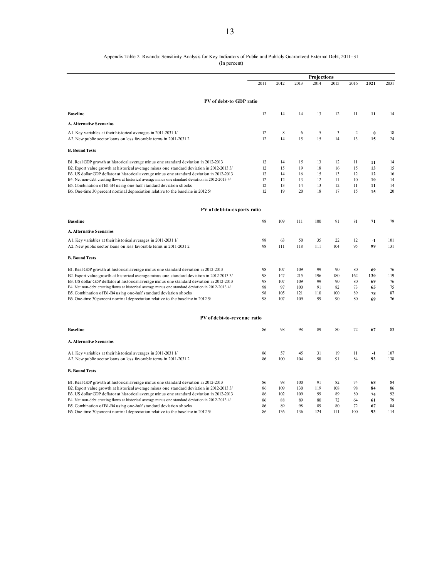#### Appendix Table 2. Rwanda: Sensitivity Analysis for Key Indicators of Public and Publicly Guaranteed External Debt, 2011–31

(In percent)

|                                                                                                    |      |      |      | Projections |      |                |          |      |
|----------------------------------------------------------------------------------------------------|------|------|------|-------------|------|----------------|----------|------|
|                                                                                                    | 2011 | 2012 | 2013 | 2014        | 2015 | 2016           | 2021     | 2031 |
| PV of debt-to GDP ratio                                                                            |      |      |      |             |      |                |          |      |
| <b>Baseline</b>                                                                                    | 12   | 14   | 14   | 13          | 12   | 11             | 11       | 14   |
| A. Alternative Scenarios                                                                           |      |      |      |             |      |                |          |      |
| A1. Key variables at their historical averages in 2011-2031 1/                                     | 12   | 8    | 6    | 5           | 3    | $\overline{2}$ | $\bf{0}$ | 18   |
| A2. New public sector loans on less favorable terms in 2011-2031 2                                 | 12   | 14   | 15   | 15          | 14   | 13             | 15       | 24   |
| <b>B. Bound Tests</b>                                                                              |      |      |      |             |      |                |          |      |
| B1. Real GDP growth at historical average minus one standard deviation in 2012-2013                | 12   | 14   | 15   | 13          | 12   | 11             | 11       | 14   |
| B2. Export value growth at historical average minus one standard deviation in 2012-2013 3/         | 12   | 15   | 19   | 18          | 16   | 15             | 13       | 15   |
| B3. US dollar GDP deflator at historical average minus one standard deviation in 2012-2013         | 12   | 14   | 16   | 15          | 13   | 12             | 12       | 16   |
| B4. Net non-debt creating flows at historical average minus one standard deviation in 2012-2013 4/ | 12   | 12   | 13   | 12          | 11   | 10             | 10       | 14   |
| B5. Combination of B1-B4 using one-half standard deviation shocks                                  | 12   | 13   | 14   | 13          | 12   | 11             | 11       | 14   |
| B6. One-time 30 percent nominal depreciation relative to the baseline in 2012 5/                   | 12   | 19   | 20   | 18          | 17   | 15             | 15       | 20   |
| PV of debt-to-exports ratio                                                                        |      |      |      |             |      |                |          |      |
| <b>Baseline</b>                                                                                    | 98   | 109  | 111  | 100         | 91   | 81             | 71       | 79   |
| <b>A. Alternative Scenarios</b>                                                                    |      |      |      |             |      |                |          |      |
| A1. Key variables at their historical averages in 2011-2031 1/                                     | 98   | 63   | 50   | 35          | 22   | 12             | $-1$     | 101  |
| A2. New public sector loans on less favorable terms in 2011-2031 2                                 | 98   | 111  | 118  | 111         | 104  | 95             | 99       | 131  |
| <b>B. Bound Tests</b>                                                                              |      |      |      |             |      |                |          |      |
| B1. Real GDP growth at historical average minus one standard deviation in 2012-2013                | 98   | 107  | 109  | 99          | 90   | 80             | 69       | 76   |
| B2. Export value growth at historical average minus one standard deviation in 2012-2013 3/         | 98   | 147  | 215  | 196         | 180  | 162            | 130      | 119  |
| B3. US dollar GDP deflator at historical average minus one standard deviation in 2012-2013         | 98   | 107  | 109  | 99          | 90   | 80             | 69       | 76   |
| B4. Net non-debt creating flows at historical average minus one standard deviation in 2012-2013 4/ | 98   | 97   | 100  | 91          | 82   | 73             | 65       | 75   |
| B5. Combination of B1-B4 using one-half standard deviation shocks                                  | 98   | 105  | 121  | 110         | 100  | 89             | 78       | 87   |
| B6. One-time 30 percent nominal depreciation relative to the baseline in 2012 5/                   | 98   | 107  | 109  | 99          | 90   | 80             | 69       | 76   |
| PV of debt-to-revenue ratio                                                                        |      |      |      |             |      |                |          |      |
| <b>Baseline</b>                                                                                    | 86   | 98   | 98   | 89          | 80   | 72             | 67       | 83   |
|                                                                                                    |      |      |      |             |      |                |          |      |
| <b>A. Alternative Scenarios</b>                                                                    |      |      |      |             |      |                |          |      |
| A1. Key variables at their historical averages in 2011-2031 1/                                     | 86   | 57   | 45   | 31          | 19   | 11             | $-1$     | 107  |
| A2. New public sector loans on less favorable terms in 2011-2031 2                                 | 86   | 100  | 104  | 98          | 91   | 84             | 93       | 138  |
| <b>B. Bound Tests</b>                                                                              |      |      |      |             |      |                |          |      |
| B1. Real GDP growth at historical average minus one standard deviation in 2012-2013                | 86   | 98   | 100  | 91          | 82   | 74             | 68       | 84   |
| B2. Export value growth at historical average minus one standard deviation in 2012-2013 3/         | 86   | 109  | 130  | 119         | 108  | 98             | 84       | 86   |
| B3. US dollar GDP deflator at historical average minus one standard deviation in 2012-2013         | 86   | 102  | 109  | 99          | 89   | 80             | 74       | 92   |
| B4. Net non-debt creating flows at historical average minus one standard deviation in 2012-2013 4/ | 86   | 88   | 89   | 80          | 72   | 64             | 61       | 79   |
| B5. Combination of B1-B4 using one-half standard deviation shocks                                  | 86   | 89   | 98   | 89          | 80   | 72             | 67       | 84   |
| B6. One-time 30 percent nominal depreciation relative to the baseline in 2012 5/                   | 86   | 136  | 136  | 124         | 111  | 100            | 93       | 114  |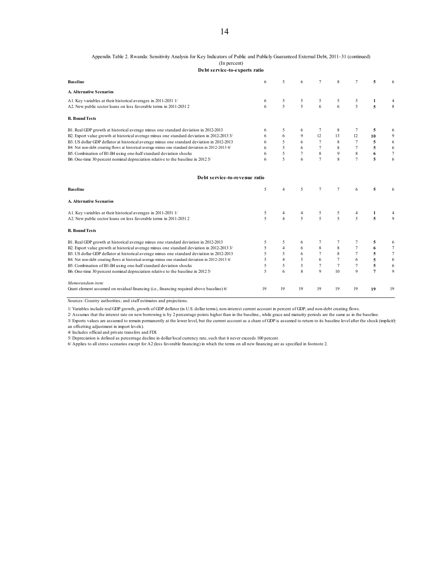#### Appendix Table 2. Rwanda: Sensitivity Analysis for Key Indicators of Public and Publicly Guaranteed External Debt, 2011–31 (continued) (In percent)

**Debt service-to-exports ratio**

| <b>Baseline</b>                                                                                                                      | 6           | 5                      | 6                   | 7              | 8                       | 7              | 5              |                |
|--------------------------------------------------------------------------------------------------------------------------------------|-------------|------------------------|---------------------|----------------|-------------------------|----------------|----------------|----------------|
| <b>A. Alternative Scenarios</b>                                                                                                      |             |                        |                     |                |                         |                |                |                |
| A1. Key variables at their historical averages in 2011-2031 1/<br>A2. New public sector loans on less favorable terms in 2011-2031 2 | 6<br>6      | 5<br>5                 | 5<br>$\overline{5}$ | 5<br>6         | 5<br>6                  | 5<br>5         | 1<br>5         | 8              |
| <b>B. Bound Tests</b>                                                                                                                |             |                        |                     |                |                         |                |                |                |
| B1. Real GDP growth at historical average minus one standard deviation in 2012-2013                                                  | 6           | 5                      | 6                   | 7              | 8                       | 7              | 5              | 6              |
| B2. Export value growth at historical average minus one standard deviation in 2012-2013 3/                                           | 6           | 6                      | $\mathbf{Q}$        | 12             | 13                      | 12             | 10             | 9              |
| B3. US dollar GDP deflator at historical average minus one standard deviation in 2012-2013                                           | 6           | 5                      | 6                   | $\overline{7}$ | 8                       | 7              | 5              | 6              |
| B4. Net non-debt creating flows at historical average minus one standard deviation in 2012-2013 4/                                   |             | 5                      | 6                   | $\overline{7}$ | 8                       | $\overline{7}$ | 5              | 6              |
| B5. Combination of B1-B4 using one-half standard deviation shocks                                                                    | 6           | 5                      | $\overline{7}$      | 8              | 9                       | 8              | 6              | $\overline{7}$ |
| B6. One-time 30 percent nominal depreciation relative to the baseline in 2012 5/                                                     |             | $\varsigma$            | 6                   | $\overline{7}$ | $\overline{\mathbf{g}}$ | $\overline{7}$ | 5              | 6              |
| Debt service-to-revenue ratio                                                                                                        |             |                        |                     |                |                         |                |                |                |
| <b>Baseline</b>                                                                                                                      | 5           | $\overline{4}$         | 5                   | $\overline{7}$ | $\overline{7}$          | 6              | 5              |                |
| <b>A. Alternative Scenarios</b>                                                                                                      |             |                        |                     |                |                         |                |                |                |
| A1. Key variables at their historical averages in 2011-2031 1/                                                                       | 5           | 4                      | 4                   | 5              | 5                       | 4              | 1              |                |
| A2. New public sector loans on less favorable terms in 2011-2031 2                                                                   | 5           | $\boldsymbol{\Lambda}$ | 5                   | 5              | 5                       | 5              | 5              | $\mathbf{Q}$   |
| <b>B. Bound Tests</b>                                                                                                                |             |                        |                     |                |                         |                |                |                |
| B1. Real GDP growth at historical average minus one standard deviation in 2012-2013                                                  | 5           | 5                      | 6                   | 7              |                         | 7              | 5              | 6              |
| B2. Export value growth at historical average minus one standard deviation in 2012-2013 3/                                           | 5           | $\overline{4}$         | 6                   | 8              | 8                       | 7              | 6              | 7              |
| B3. US dollar GDP deflator at historical average minus one standard deviation in 2012-2013                                           | 5           | 5                      | 6                   | $\overline{7}$ | 8                       | $\overline{7}$ | 5              | 7              |
| B4. Net non-debt creating flows at historical average minus one standard deviation in 2012-2013 4/                                   | 5           | $\overline{4}$         | 5                   | 6              | $\overline{7}$          | 6              | 5              | 6              |
| B5. Combination of B1-B4 using one-half standard deviation shocks                                                                    | 5           | 5                      | 5                   | $\overline{7}$ | $\tau$                  | $\overline{7}$ | 5              | 6              |
| B6. One-time 30 percent nominal depreciation relative to the baseline in 2012 5/                                                     | $\varsigma$ | 6                      | $\overline{8}$      | $\mathbf Q$    | 10                      | $\mathbf Q$    | $\overline{7}$ | $\mathbf{Q}$   |
| Memorandum item:                                                                                                                     |             |                        |                     |                |                         |                |                |                |
| Grant element assumed on residual financing (i.e., financing required above baseline) 6/                                             | 19          | 19                     | 19                  | 19             | 19                      | 19             | 19             | 19             |

Sources: Country authorities; and staff estimates and projections.

1/ Variables include real GDP growth, growth of GDP deflator (in U.S. dollar terms), non-interest current account in percent of GDP, and non-debt creating flows.

2/ Assumes that the interest rate on new borrowing is by 2 percentage points higher than in the baseline., while grace and maturity periods are the same as in the baseline.

3/ Exports values are assumed to remain permanently at the lower level, but the current account as a share of GDP is assumed to return to its baseline level after the shock (implicitly an offsetting adjustment in import levels).

4/ Includes official and private transfers and FDI.

5/ Depreciation is defined as percentage decline in dollar/local currency rate, such that it never exceeds 100 percent.

6/ Applies to all stress scenarios except for A2 (less favorable financing) in which the terms on all new financing are as specified in footnote 2.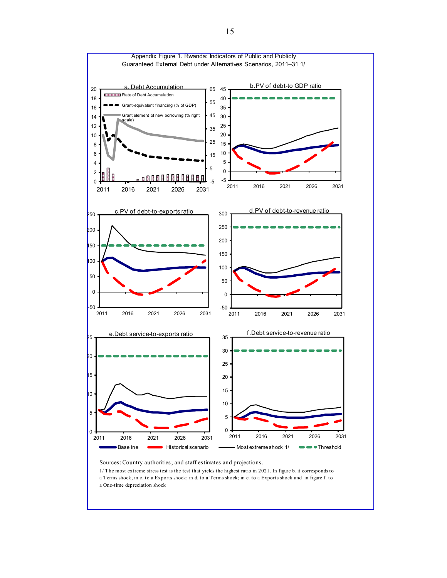

Sources: Country authorities; and staff estimates and projections.

1/ The most extreme stress test is the test that yields the highest ratio in 2021. In figure b. it corresponds to a Terms shock; in c. to a Exports shock; in d. to a Terms shock; in e. to a Exports shock and in figure f. to a One-time depreciation shock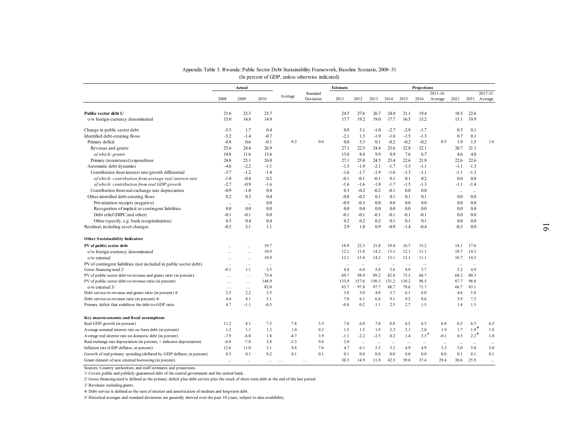|                                                                        |           |           |          |          | (In percent of GDP, unless otherwise indicated) |           |        |           |           |        |             |         |           |                  |           |
|------------------------------------------------------------------------|-----------|-----------|----------|----------|-------------------------------------------------|-----------|--------|-----------|-----------|--------|-------------|---------|-----------|------------------|-----------|
|                                                                        |           | Actual    |          |          | Standard                                        | Estimate  |        |           |           |        | Projections | 2011-16 |           |                  | 2017-31   |
|                                                                        | 2008      | 2009      | 2010     | Average  | Deviation                                       | 2011      | 2012   | 2013      | 2014      | 2015   | 2016        | Average | 2021      | 2031             | Average   |
| Public sector debt 1/                                                  | 21.6      | 23.3      | 23.7     |          |                                                 | 24.5      | 27.6   | 26.7      | 24.0      | 21.1   | 19.4        |         | 18.5      | 22.6             |           |
| o/w foreign-currency denominated                                       | 15.0      | 14.8      | 14.9     |          |                                                 | 17.7      | 19.2   | 19.0      | 17.7      | 16.5   | 15.2        |         | 15.1      | 19.9             |           |
| Change in public sector debt                                           | $-5.5$    | 1.7       | 0.4      |          |                                                 | 0.8       | 3.1    | $-1.0$    | $-2.7$    | $-2.9$ | $-1.7$      |         | 0.5       | 0.1              |           |
| Identified debt-creating flows                                         | $-5.2$    | $-1.4$    | $-0.7$   |          |                                                 | $-2.1$    | 1.3    | $-1.9$    | $-1.8$    | $-1.5$ | $-1.3$      |         | 0.7       | 0.1              |           |
| Primary deficit                                                        | $-0.8$    | 0.6       | $-0.1$   | 0.2      | 0.6                                             | 0.0       | 3.3    | 0.1       | $-0.2$    | $-0.2$ | $-0.2$      | 0.5     | 1.9       | 1.5              | 1.6       |
| Revenue and grants                                                     | 25.6      | 24.4      | 26.9     |          |                                                 | 27.1      | 22.5   | 24.4      | 23.6      | 22.8   | 22.1        |         | 20.7      | 21.1             |           |
| of which: grants                                                       | 10.8      | 11.6      | 13.6     |          |                                                 | 13.0      | 8.4    | 9.9       | 8.9       | 7.6    | 6.7         |         | 4.6       | 4.0              |           |
| Primary (noninterest) expenditure                                      | 24.8      | 25.1      | 26.8     |          |                                                 | 27.1      | 25.8   | 24.5      | 23.4      | 22.6   | 21.9        |         | 22.6      | 22.6             |           |
| Automatic debt dynamics                                                | $-4.6$    | $-2.2$    | $-1.1$   |          |                                                 | $-1.3$    | $-1.9$ | $-2.1$    | $-1.7$    | $-1.3$ | $-1.1$      |         | $-1.1$    | $-1.3$           |           |
| Contribution from interest rate/growth differential                    | $-3.7$    | $-1.2$    | $-1.4$   |          |                                                 | $-1.6$    | $-1.7$ | $-1.9$    | $-1.6$    | $-1.3$ | $-1.1$      |         | $-1.1$    | $-1.3$           |           |
| of which: contribution from average real interest rate                 | $-1.0$    | $-0.4$    | 0.2      |          |                                                 | $-0.1$    | $-0.1$ | $-0.1$    | 0.1       | 0.1    | 0.2         |         | 0.0       | 0.0              |           |
| of which: contribution from real GDP growth                            | $-2.7$    | $-0.9$    | $-1.6$   |          |                                                 | $-1.6$    | $-1.6$ | $-1.8$    | $-1.7$    | $-1.5$ | $-1.3$      |         | $-1.1$    | $-1.4$           |           |
| Contribution from real exchange rate depreciation                      | $-0.9$    | $-1.0$    | 0.4      |          |                                                 | 0.3       | $-0.2$ | $-0.2$    | $-0.1$    | 0.0    | 0.0         |         | $\ddotsc$ | $\ddotsc$        |           |
| Other identified debt-creating flows                                   | 0.2       | 0.3       | 0.4      |          |                                                 | $-0.8$    | $-0.2$ | 0.1       | 0.1       | 0.1    | 0.1         |         | $0.0\,$   | 0.0              |           |
| Privatization receipts (negative)                                      | $\ddotsc$ | $\ddots$  | 0.0      |          |                                                 | $-0.9$    | $-0.3$ | 0.0       | 0.0       | 0.0    | 0.0         |         | 0.0       | 0.0              |           |
| Recognition of implicit or contingent liabilities                      | 0.0       | 0.0       | 0.0      |          |                                                 | 0.0       | 0.0    | 0.0       | 0.0       | 0.0    | 0.0         |         | 0.0       | 0.0              |           |
| Debt relief (HIPC and other)                                           | $-0.1$    | $-0.1$    | 0.0      |          |                                                 | $-0.1$    | $-0.1$ | $-0.1$    | $-0.1$    | $-0.1$ | $-0.1$      |         | 0.0       | 0.0              |           |
| Other (specify, e.g. bank recapitalization)                            | 0.3       | 0.4       | 0.4      |          |                                                 | 0.2       | 0.2    | 0.2       | 0.1       | 0.1    | 0.1         |         | 0.0       | 0.0              |           |
| Residual, including asset changes                                      | $-0.3$    | 3.1       | 1.1      |          |                                                 | 2.9       | 1.8    | 0.9       | $-0.9$    | $-1.4$ | $-0.4$      |         | $-0.3$    | 0.0              |           |
| <b>Other Sustainability Indicators</b>                                 |           |           |          |          |                                                 |           |        |           |           |        |             |         |           |                  |           |
| PV of public sector debt                                               |           |           | 19.7     |          |                                                 | 18.9      | 22.3   | 21.8      | 19.4      | 16.7   | 15.2        |         | 14.1      | 17.0             |           |
| o/w foreign-currency denominated                                       |           |           | 10.9     |          |                                                 | 12.1      | 13.8   | 14.2      | 13.1      | 12.1   | 11.1        |         | 10.7      | 14.3             |           |
| o/w external                                                           | $\cdots$  | $\ddotsc$ | 10.9     |          |                                                 | 12.1      | 13.8   | 14.2      | 13.1      | 12.1   | 11.1        |         | 10.7      | 14.3             |           |
| PV of contingent liabilities (not included in public sector debt)      | $\cdots$  | $\ddotsc$ | $\cdots$ |          |                                                 | $\ddotsc$ |        | $\ddotsc$ | $\ddotsc$ | $\sim$ | $\ddots$    |         | $\cdots$  | $\ddotsc$        |           |
| Gross financing need 2/                                                | $-0.1$    | 1.1       | 3.5      |          |                                                 | 4.8       | 6.8    | 5.8       | 5.6       | 4.9    | 3.7         |         | 5.2       | 4.9              |           |
| PV of public sector debt-to-revenue and grants ratio (in percent)      | $\ldots$  | $\ldots$  | 73.4     |          |                                                 | 69.7      | 98.9   | 89.2      | 82.0      | 73.3   | 68.7        |         | 68.2      | 80.3             |           |
| PV of public sector debt-to-revenue ratio (in percent)                 | $\cdots$  | $\cdots$  | 148.9    |          |                                                 | 133.9     | 157.6  | 150.3     | 131.2     | 110.2  | 98.5        |         | 87.7      | 98.8             |           |
| o/w external 3/                                                        | $\cdots$  | $\cdots$  | 82.0     |          |                                                 | 85.7      | 97.8   | 97.7      | 88.7      | 79.6   | 71.7        |         | 66.7      | 83.1             |           |
| Debt service-to-revenue and grants ratio (in percent) 4/               | 2.5       | 2.2       | 2.5      |          |                                                 | 3.6       | 3.8    | 4.0       | 5.7       | 6.1    | 6.0         |         | 4.6       | 5.8              |           |
| Debt service-to-revenue ratio (in percent) 4/                          | 4.4       | 4.1       | 5.1      |          |                                                 | 7.0       | 6.1    | 6.8       | 9.1       | 9.2    | 8.6         |         | 5.9       | 7.2              |           |
| Primary deficit that stabilizes the debt-to-GDP ratio                  | 4.7       | $-1.1$    | $-0.5$   |          |                                                 | $-0.8$    | 0.2    | 1.1       | 2.5       | 2.7    | 1.5         |         | 1.4       | 1.3              |           |
| Key macroeconomic and fiscal assumptions                               |           |           |          |          |                                                 |           |        |           |           |        |             |         |           |                  |           |
| Real GDP growth (in percent)                                           | 11.2      | 4.1       | 7.5      | 7.8      | 3.3                                             | 7.0       | 6.8    | 7.0       | 6.8       | 6.5    | 6.5         | 6.8     | 6.5       | 6.5              | 6.5       |
| A verage nominal interest rate on forex debt (in percent)              | 1.2       | 1.1       | 1.2      | 1.0      | 0.2                                             | 1.5       | 1.5    | 1.9       | 2.2       | 2.1    | 2.0         | 1.9     | 1.7       | 1.9 <sup>2</sup> | 1.8       |
| A verage real interest rate on domestic debt (in percent)              | $-7.9$    | $-6.0$    | 1.8      | $-4.7$   | 3.9                                             | $-1.1$    | $-2.2$ | $-2.5$    | 0.2       | 1.4    | 3.5         | $-0.1$  | 0.5       | 2.2              | 1.0       |
| Real exchange rate depreciation (in percent, + indicates depreciation) | $-6.8$    | $-7.0$    | 2.8      | $-2.3$   | 9.6                                             | 2.0       |        |           |           |        |             |         |           |                  |           |
| Inflation rate (GDP deflator, in percent)                              | 12.6      | 11.0      | 2.1      | 8.8      | 7.6                                             | 4.7       | 6.1    | 5.3       | 5.2       | 4.9    | 4.9         | 5.2     | 5.0       | 5.0              | 5.0       |
| Growth of real primary spending (deflated by GDP deflator, in percent) | 0.3       | 0.1       | 0.2      | 0.1      | 0.1                                             | 0.1       | 0.0    | 0.0       | 0.0       | 0.0    | 0.0         | 0.0     | 0.1       | 0.1              | 0.1       |
| Grant element of new external borrowing (in percent)                   | $\cdots$  | $\cdots$  | $\ldots$ | $\ldots$ | $\cdots$                                        | 30.5      | 14.9   | 11.8      | 42.3      | 39.8   | 37.4        | 29.4    | 30.6      | 25.9             | $\ddotsc$ |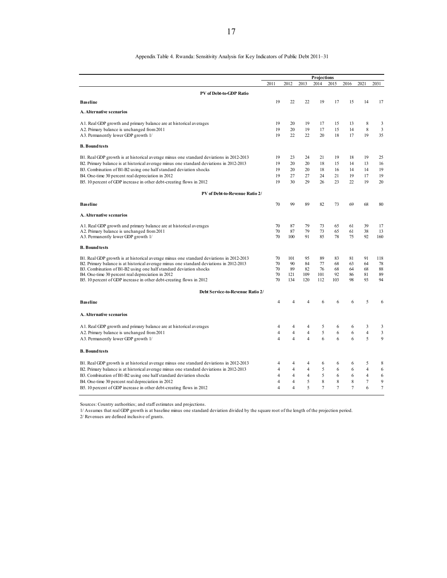#### Appendix Table 4. Rwanda: Sensitivity Analysis for Key Indicators of Public Debt 2011–31

|                                                                                         |                |                |                | Projections |                |                |                |                |
|-----------------------------------------------------------------------------------------|----------------|----------------|----------------|-------------|----------------|----------------|----------------|----------------|
|                                                                                         | 2011           | 2012           | 2013           | 2014        | 2015           | 2016           | 2021           | 2031           |
| PV of Debt-to-GDP Ratio                                                                 |                |                |                |             |                |                |                |                |
| <b>Baseline</b>                                                                         | 19             | 22             | 22             | 19          | 17             | 15             | 14             | 17             |
| A. Alternative scenarios                                                                |                |                |                |             |                |                |                |                |
| A1. Real GDP growth and primary balance are at historical averages                      | 19             | 20             | 19             | 17          | 15             | 13             | 8              | 3              |
| A2. Primary balance is unchanged from 2011                                              | 19             | 20             | 19             | 17          | 15             | 14             | 8              | $\mathfrak z$  |
| A3. Permanently lower GDP growth 1/                                                     | 19             | 22             | 22             | 20          | 18             | 17             | 19             | 35             |
| <b>B.</b> Bound tests                                                                   |                |                |                |             |                |                |                |                |
| B1. Real GDP growth is at historical average minus one standard deviations in 2012-2013 | 19             | 23             | 24             | 21          | 19             | 18             | 19             | 25             |
| B2. Primary balance is at historical average minus one standard deviations in 2012-2013 | 19             | 20             | 20             | 18          | 15             | 14             | 13             | 16             |
| B3. Combination of B1-B2 using one half standard deviation shocks                       | 19             | 20             | 20             | 18          | 16             | 14             | 14             | 19             |
| B4. One-time 30 percent real depreciation in 2012                                       | 19             | 27             | 27             | 24          | 21             | 19             | 17             | 19             |
| B5. 10 percent of GDP increase in other debt-creating flows in 2012                     | 19             | 30             | 29             | 26          | 23             | 22             | 19             | 20             |
| PV of Debt-to-Revenue Ratio 2/                                                          |                |                |                |             |                |                |                |                |
| <b>Baseline</b>                                                                         | 70             | 99             | 89             | 82          | 73             | 69             | 68             | 80             |
| A. Alternative scenarios                                                                |                |                |                |             |                |                |                |                |
| A1. Real GDP growth and primary balance are at historical averages                      | 70             | 87             | 79             | 73          | 65             | 61             | 39             | 17             |
| A2. Primary balance is unchanged from 2011                                              | 70             | 87             | 79             | 73          | 65             | 61             | 38             | 13             |
| A3. Permanently lower GDP growth 1/                                                     | 70             | 100            | 91             | 85          | 78             | 75             | 92             | 160            |
| <b>B.</b> Bound tests                                                                   |                |                |                |             |                |                |                |                |
| B1. Real GDP growth is at historical average minus one standard deviations in 2012-2013 | 70             | 101            | 95             | 89          | 83             | 81             | 91             | 118            |
| B2. Primary balance is at historical average minus one standard deviations in 2012-2013 | 70             | 90             | 84             | 77          | 68             | 63             | 64             | 78             |
| B3. Combination of B1-B2 using one half standard deviation shocks                       | 70             | 89             | 82             | 76          | 68             | 64             | 68             | 88             |
| B4. One-time 30 percent real depreciation in 2012                                       | 70             | 121            | 109            | 101         | 92             | 86             | 81             | 89             |
| B5. 10 percent of GDP increase in other debt-creating flows in 2012                     | 70             | 134            | 120            | 112         | 103            | 98             | 93             | 94             |
| Debt Service-to-Revenue Ratio 2/                                                        |                |                |                |             |                |                |                |                |
| <b>Baseline</b>                                                                         | $\overline{4}$ | 4              | 4              | 6           | 6              | 6              | 5              | 6              |
| A. Alternative scenarios                                                                |                |                |                |             |                |                |                |                |
| A1. Real GDP growth and primary balance are at historical averages                      | 4              | 4              | 4              | 5           | 6              | 6              | 3              | 3              |
| A2. Primary balance is unchanged from 2011                                              | $\overline{4}$ | 4              | $\overline{4}$ | 5           | 6              | 6              | 4              | 3              |
| A3. Permanently lower GDP growth 1/                                                     | $\overline{4}$ | $\overline{4}$ | $\overline{4}$ | 6           | 6              | 6              | 5              | 9              |
| <b>B.</b> Bound tests                                                                   |                |                |                |             |                |                |                |                |
| B1. Real GDP growth is at historical average minus one standard deviations in 2012-2013 | 4              | 4              | 4              | 6           | 6              | 6              | 5              | 8              |
| B2. Primary balance is at historical average minus one standard deviations in 2012-2013 | $\overline{4}$ | $\overline{4}$ | $\overline{4}$ | 5           | 6              | 6              | $\overline{4}$ | 6              |
| B3. Combination of B1-B2 using one half standard deviation shocks                       | $\overline{4}$ | 4              | $\overline{4}$ | 5           | 6              | 6              | 4              | 6              |
| B4. One-time 30 percent real depreciation in 2012                                       | $\overline{4}$ | 4              | 5              | 8           | 8              | 8              | $\tau$         | 9              |
| B5. 10 percent of GDP increase in other debt-creating flows in 2012                     | $\overline{4}$ | 4              | 5              | 7           | $\overline{7}$ | $\overline{7}$ | 6              | $\overline{7}$ |
|                                                                                         |                |                |                |             |                |                |                |                |

Sources: Country authorities; and staff estimates and projections.

1/ Assumes that real GDP growth is at baseline minus one standard deviation divided by the square root of the length of the projection period.

2/ Revenues are defined inclusive of grants.